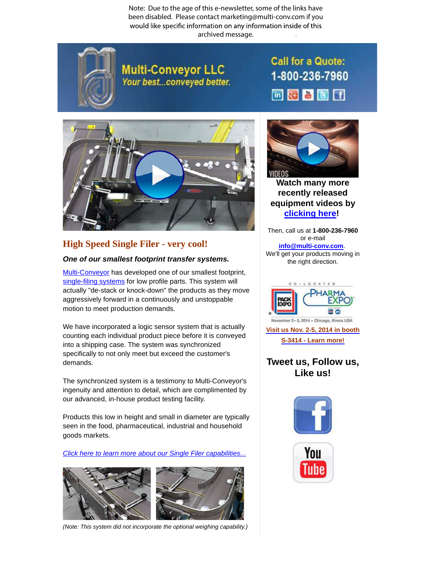Note: Due to the age of this e-newsletter, some of the links have been disabled. Please contact marketing@multi-conv.com if you would like specific information on any information inside of this archived message..



**Multi-Conveyor LLC** Your best...conveyed better. **Call for a Quote:** 1-800-236-7960 同國書國田



## **High Speed [Single](http://www.multi-conveyor.com/multi-media-center/videos) Filer - very cool!**

## **One of our smallest footprint transfer systems.**

Multi-Conveyor has developed one of our smallest footprint, single-filing systems for low profile parts. This system will actually "de-stack or knock-down" the products as they move aggressively forward in a continuously and unstoppable motion to meet production demands.

We have incorporated a logic sensor system that is actually counting each individual product piece before it is conveyed into a shipping case. The system was synchronized specifically to not only meet but exceed the customer's demands.

The synchronized system is a testimony to Multi-Conveyor's ingenuity and attention to detail, which are complimented by our advanced, in-house product testing facility.

Products this low in height and small in diameter are typically seen in the food, pharmaceutical, industrial and household goods markets.

Click here to [learn more about our Single Filer capabilities...](http://www.multi-conveyor.com/packaging-solutions/single-filers-systems)



(Note: This system did not incorporate the optional weighing capability.)



**Watch many more recently released equipment videos by clicking here!**

Then, call us at **1-800-236-7960** or e-mail **info@multi-conv.com**. We'll get your products moving in the right direction.



## **Tweet us, Follow us, Like us!**